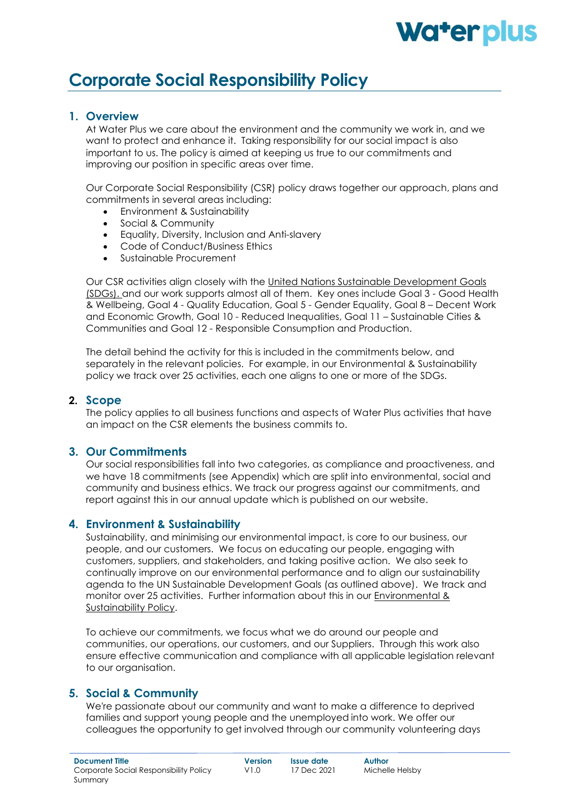# **Waterplus**

# **Corporate Social Responsibility Policy**

# **1. Overview**

At Water Plus we care about the environment and the community we work in, and we want to protect and enhance it. Taking responsibility for our social impact is also important to us. The policy is aimed at keeping us true to our commitments and improving our position in specific areas over time.

Our Corporate Social Responsibility (CSR) policy draws together our approach, plans and commitments in several areas including:

- Environment & Sustainability
- Social & Community
- Equality, Diversity, Inclusion and Anti-slavery
- Code of Conduct/Business Ethics
- Sustainable Procurement

Our CSR activities align closely with the [United Nations Sustainable Development Goals](https://www.undp.org/sustainable-development-goals) (SDGs). and our work supports almost all of them. Key ones include Goal 3 - Good Health & Wellbeing, Goal 4 - Quality Education, Goal 5 - Gender Equality, Goal 8 – Decent Work and Economic Growth, Goal 10 - Reduced Inequalities, Goal 11 – Sustainable Cities & Communities and Goal 12 - Responsible Consumption and Production.

The detail behind the activity for this is included in the commitments below, and separately in the relevant policies. For example, in our Environmental & Sustainability policy we track over 25 activities, each one aligns to one or more of the SDGs.

# **2. Scope**

The policy applies to all business functions and aspects of Water Plus activities that have an impact on the CSR elements the business commits to.

# **3. Our Commitments**

Our social responsibilities fall into two categories, as compliance and proactiveness, and we have 18 commitments (see Appendix) which are split into environmental, social and community and business ethics. We track our progress against our commitments, and report against this in our annual update which is published on our website.

### **4. Environment & Sustainability**

Sustainability, and minimising our environmental impact, is core to our business, our people, and our customers. We focus on educating our people, engaging with customers, suppliers, and stakeholders, and taking positive action. We also seek to continually improve on our environmental performance and to align our sustainability agenda to the UN Sustainable Development Goals (as outlined above). We track and monitor over 25 activities. Further information about this in our [Environmental &](https://admin.water-plus.co.uk/wpstrategic/media/Legal/Environmental-and-Sustainabilty-Policy-v2-(1).pdf) [Sustainability Policy.](https://admin.water-plus.co.uk/wpstrategic/media/Legal/Environmental-and-Sustainabilty-Policy-v2-(1).pdf)

To achieve our commitments, we focus what we do around our people and communities, our operations, our customers, and our Suppliers. Through this work also ensure effective communication and compliance with all applicable legislation relevant to our organisation.

# **5. Social & Community**

We're passionate about our community and want to make a difference to deprived families and support young people and the unemployed into work. We offer our colleagues the opportunity to get involved through our community volunteering days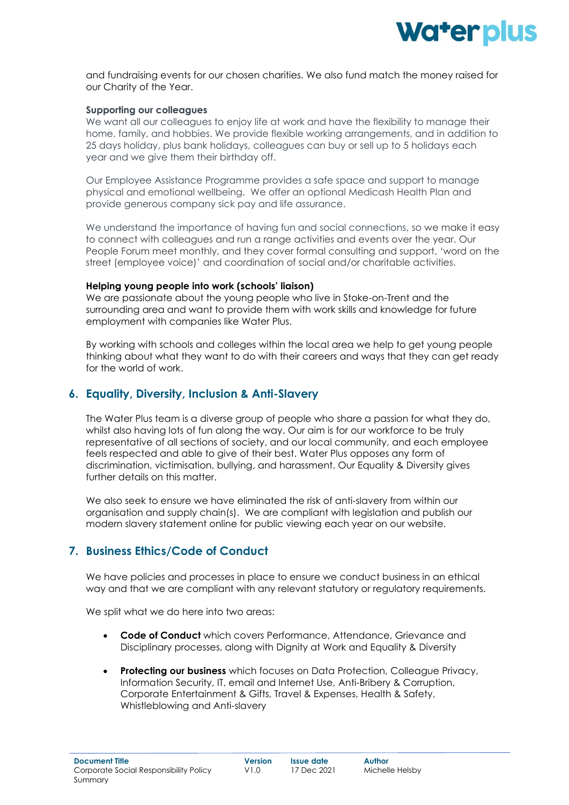

and fundraising events for our chosen charities. We also fund match the money raised for our Charity of the Year.

#### **Supporting our colleagues**

We want all our colleagues to enjoy life at work and have the flexibility to manage their home, family, and hobbies. We provide flexible working arrangements, and in addition to 25 days holiday, plus bank holidays, colleagues can [buy or sell up to 5 holidays](https://waterplusuk.sharepoint.com/SitePages/Buying-%26-Selling-Holidays.aspx) each year and we give them their birthday off.

Our Employee Assistance Programme provides a safe space and support to manage physical and emotional wellbeing. We offer an optional Medicash Health Plan and provide generous company sick pay and life assurance.

We understand the importance of having fun and social connections, so we make it easy to connect with colleagues and run a range activities and events over the year. Our People Forum meet monthly, and they cover formal consulting and support, 'word on the street (employee voice)' and coordination of social and/or charitable activities.

#### **Helping young people into work (schools' liaison)**

We are passionate about the young people who live in Stoke-on-Trent and the surrounding area and want to provide them with work skills and knowledge for future employment with companies like Water Plus.

By working with schools and colleges within the local area we help to get young people thinking about what they want to do with their careers and ways that they can get ready for the world of work.

# **6. Equality, Diversity, Inclusion & Anti-Slavery**

The Water Plus team is a diverse group of people who share a passion for what they do, whilst also having lots of fun along the way. Our aim is for our workforce to be truly representative of all sections of society, and our local community, and each employee feels respected and able to give of their best. Water Plus opposes any form of discrimination, victimisation, bullying, and harassment. Our Equality & Diversity gives further details on this matter.

We also seek to ensure we have eliminated the risk of anti-slavery from within our organisation and supply chain(s). We are compliant with legislation and publish our modern slavery statement online for public viewing each year on our website.

# **7. Business Ethics/Code of Conduct**

We have policies and processes in place to ensure we conduct business in an ethical way and that we are compliant with any relevant statutory or regulatory requirements.

We split what we do here into two areas:

- **Code of Conduct** which covers Performance, Attendance, Grievance and Disciplinary processes, along with Dignity at Work and Equality & Diversity
- **Protecting our business** which focuses on Data Protection, Colleague Privacy, Information Security, IT, email and Internet Use, Anti-Bribery & Corruption, Corporate Entertainment & Gifts, Travel & Expenses, Health & Safety, Whistleblowing and Anti-slavery